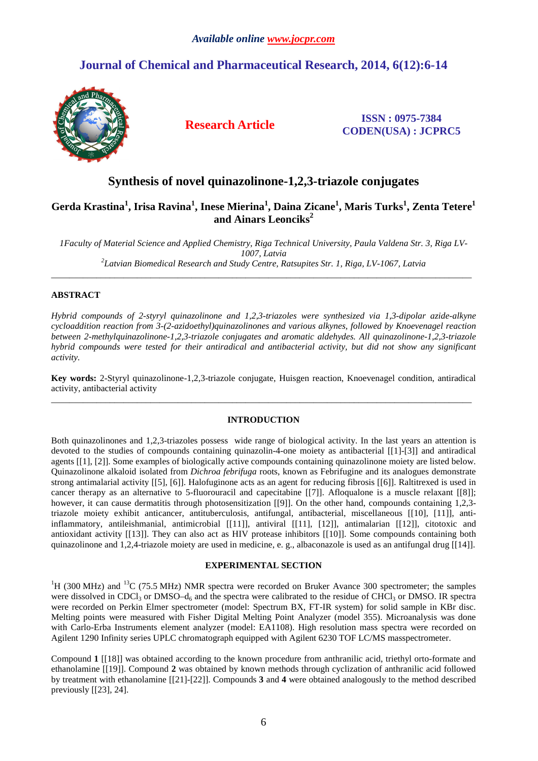# **Journal of Chemical and Pharmaceutical Research, 2014, 6(12):6-14**



## **Research Article ISSN : 0975-7384 CODEN(USA) : JCPRC5**

## **Synthesis of novel quinazolinone-1,2,3-triazole conjugates**

## **Gerda Krastina<sup>1</sup> , Irisa Ravina<sup>1</sup> , Inese Mierina<sup>1</sup> , Daina Zicane<sup>1</sup> , Maris Turks<sup>1</sup> , Zenta Tetere<sup>1</sup> and Ainars Leonciks<sup>2</sup>**

*1Faculty of Material Science and Applied Chemistry, Riga Technical University, Paula Valdena Str. 3, Riga LV-1007, Latvia 2 Latvian Biomedical Research and Study Centre, Ratsupites Str. 1, Riga, LV-1067, Latvia* 

\_\_\_\_\_\_\_\_\_\_\_\_\_\_\_\_\_\_\_\_\_\_\_\_\_\_\_\_\_\_\_\_\_\_\_\_\_\_\_\_\_\_\_\_\_\_\_\_\_\_\_\_\_\_\_\_\_\_\_\_\_\_\_\_\_\_\_\_\_\_\_\_\_\_\_\_\_\_\_\_\_\_\_\_\_\_\_\_\_\_\_\_\_

## **ABSTRACT**

*Hybrid compounds of 2-styryl quinazolinone and 1,2,3-triazoles were synthesized via 1,3-dipolar azide-alkyne cycloaddition reaction from 3-(2-azidoethyl)quinazolinones and various alkynes, followed by Knoevenagel reaction between 2-methylquinazolinone-1,2,3-triazole conjugates and aromatic aldehydes. All quinazolinone-1,2,3-triazole hybrid compounds were tested for their antiradical and antibacterial activity, but did not show any significant activity.* 

**Key words:** 2-Styryl quinazolinone-1,2,3-triazole conjugate, Huisgen reaction, Knoevenagel condition, antiradical activity, antibacterial activity \_\_\_\_\_\_\_\_\_\_\_\_\_\_\_\_\_\_\_\_\_\_\_\_\_\_\_\_\_\_\_\_\_\_\_\_\_\_\_\_\_\_\_\_\_\_\_\_\_\_\_\_\_\_\_\_\_\_\_\_\_\_\_\_\_\_\_\_\_\_\_\_\_\_\_\_\_\_\_\_\_\_\_\_\_\_\_\_\_\_\_\_\_

## **INTRODUCTION**

Both quinazolinones and 1,2,3-triazoles possess wide range of biological activity. In the last years an attention is devoted to the studies of compounds containing quinazolin-4-one moiety as antibacterial [[1]-[3]] and antiradical agents [[1], [2]]. Some examples of biologically active compounds containing quinazolinone moiety are listed below. Quinazolinone alkaloid isolated from *Dichroa febrifuga* roots, known as Febrifugine and its analogues demonstrate strong antimalarial activity [[5], [6]]. Halofuginone acts as an agent for reducing fibrosis [[6]]. Raltitrexed is used in cancer therapy as an alternative to 5-fluorouracil and capecitabine [[7]]. Afloqualone is a muscle relaxant [[8]]; however, it can cause dermatitis through photosensitization [[9]]. On the other hand, compounds containing 1,2,3triazole moiety exhibit anticancer, antituberculosis, antifungal, antibacterial, miscellaneous [[10], [11]], antiinflammatory, antileishmanial, antimicrobial [[11]], antiviral [[11], [12]], antimalarian [[12]], citotoxic and antioxidant activity [[13]]. They can also act as HIV protease inhibitors [[10]]. Some compounds containing both quinazolinone and 1,2,4-triazole moiety are used in medicine, e. g., albaconazole is used as an antifungal drug [[14]].

### **EXPERIMENTAL SECTION**

 $1_H$  (300 MHz) and  $13_C$  (75.5 MHz) NMR spectra were recorded on Bruker Avance 300 spectrometer; the samples were dissolved in CDCl<sub>3</sub> or DMSO–d<sub>6</sub> and the spectra were calibrated to the residue of CHCl<sub>3</sub> or DMSO. IR spectra were recorded on Perkin Elmer spectrometer (model: Spectrum BX, FT-IR system) for solid sample in KBr disc. Melting points were measured with Fisher Digital Melting Point Analyzer (model 355). Microanalysis was done with Carlo-Erba Instruments element analyzer (model: EA1108). High resolution mass spectra were recorded on Agilent 1290 Infinity series UPLC chromatograph equipped with Agilent 6230 TOF LC/MS masspectrometer.

Compound **1** [[18]] was obtained according to the known procedure from anthranilic acid, triethyl orto-formate and ethanolamine [[19]]. Compound **2** was obtained by known methods through cyclization of anthranilic acid followed by treatment with ethanolamine [[21]-[22]]. Compounds **3** and **4** were obtained analogously to the method described previously [[23], 24].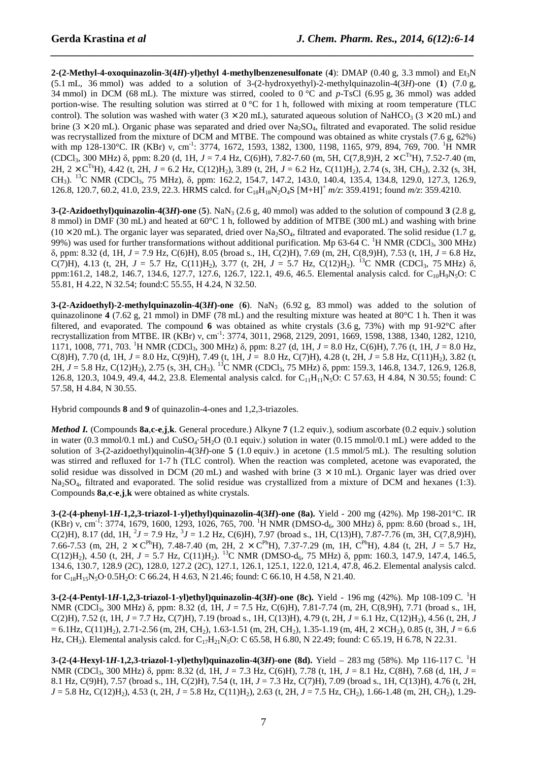**2-(2-Methyl-4-oxoquinazolin-3(4***H***)-yl)ethyl 4-methylbenzenesulfonate** (4): DMAP (0.40 g, 3.3 mmol) and Et<sub>3</sub>N (5.1 mL, 36 mmol) was added to a solution of 3-(2-hydroxyethyl)-2-methylquinazolin-4(3*H*)-one (**1**) (7.0 g, 34 mmol) in DCM (68 mL). The mixture was stirred, cooled to 0 °C and *p*-TsCl (6.95 g, 36 mmol) was added portion-wise. The resulting solution was stirred at  $0^{\circ}C$  for 1 h, followed with mixing at room temperature (TLC control). The solution was washed with water ( $3 \times 20$  mL), saturated aqueous solution of NaHCO<sub>3</sub> ( $3 \times 20$  mL) and brine ( $3 \times 20$  mL). Organic phase was separated and dried over Na<sub>2</sub>SO<sub>4</sub>, filtrated and evaporated. The solid residue was recrystallized from the mixture of DCM and MTBE. The compound was obtained as white crystals (7.6 g, 62%) with mp 128-130°C. IR (KBr) v, cm<sup>-1</sup>: 3774, 1672, 1593, 1382, 1300, 1198, 1165, 979, 894, 769, 700. <sup>1</sup>H NMR (CDCl<sub>3</sub>, 300 MHz)  $\delta$ , ppm: 8.20 (d, 1H, *J* = 7.4 Hz, C(6)H), 7.82-7.60 (m, 5H, C(7,8,9)H, 2 × C<sup>Ts</sup>H), 7.52-7.40 (m, 2H,  $2 \times C^{Ts}$ H), 4.42 (t, 2H,  $J = 6.2$  Hz, C(12)H<sub>2</sub>), 3.89 (t, 2H,  $J = 6.2$  Hz, C(11)H<sub>2</sub>), 2.74 (s, 3H, CH<sub>3</sub>), 2.32 (s, 3H, CH<sub>3</sub>). <sup>13</sup>C NMR (CDCl<sub>3</sub>, 75 MHz), δ, ppm: 162.2, 154.7, 147.2, 143.0, 140.4, 135.4, 134.8, 129.0, 127.3, 126.9, 126.8, 120.7, 60.2, 41.0, 23.9, 22.3. HRMS calcd. for C18H18N2O4S [M+H]<sup>+</sup> *m/z*: 359.4191; found *m/z*: 359.4210.

*\_\_\_\_\_\_\_\_\_\_\_\_\_\_\_\_\_\_\_\_\_\_\_\_\_\_\_\_\_\_\_\_\_\_\_\_\_\_\_\_\_\_\_\_\_\_\_\_\_\_\_\_\_\_\_\_\_\_\_\_\_\_\_\_\_\_\_\_\_\_\_\_\_\_\_\_\_\_*

**3-(2-Azidoethyl)quinazolin-4(3***H***)-one** (5). NaN<sub>3</sub> (2.6 g, 40 mmol) was added to the solution of compound 3 (2.8 g, 8 mmol) in DMF (30 mL) and heated at 60°C 1 h, followed by addition of MTBE (300 mL) and washing with brine  $(10 \times 20 \text{ mL})$ . The organic layer was separated, dried over Na<sub>2</sub>SO<sub>4</sub>, filtrated and evaporated. The solid residue (1.7 g, 99%) was used for further transformations without additional purification. Mp 63-64 C. <sup>1</sup>H NMR (CDCl<sub>3</sub>, 300 MHz) δ, ppm: 8.32 (d, 1H, *J* = 7.9 Hz, C(6)H), 8.05 (broad s., 1H, C(2)H), 7.69 (m, 2H, C(8,9)H), 7.53 (t, 1H, *J* = 6.8 Hz, C(7)H), 4.13 (t, 2H,  $J = 5.7$  Hz, C(11)H<sub>2</sub>), 3.77 (t, 2H,  $J = 5.7$  Hz, C(12)H<sub>2</sub>). <sup>13</sup>C NMR (CDCl<sub>3</sub>, 75 MHz)  $\delta$ , ppm:161.2, 148.2, 146.7, 134.6, 127.7, 127.6, 126.7, 122.1, 49.6, 46.5. Elemental analysis calcd. for C<sub>10</sub>H<sub>9</sub>N<sub>5</sub>O: C 55.81, H 4.22, N 32.54; found:C 55.55, H 4.24, N 32.50.

**3-(2-Azidoethyl)-2-methylquinazolin-4(3***H***)-one** (6). NaN<sub>3</sub> (6.92 g, 83 mmol) was added to the solution of quinazolinone **4** (7.62 g, 21 mmol) in DMF (78 mL) and the resulting mixture was heated at 80°C 1 h. Then it was filtered, and evaporated. The compound **6** was obtained as white crystals (3.6 g, 73%) with mp 91-92°C after recrystallization from MTBE. IR (KBr) ν, cm-1: 3774, 3011, 2968, 2129, 2091, 1669, 1598, 1388, 1340, 1282, 1210, 1171, 1008, 771, 703. <sup>1</sup>H NMR (CDCl3, 300 MHz) δ, ppm: 8.27 (d, 1H, *J* = 8.0 Hz, C(6)H), 7.76 (t, 1H, *J* = 8.0 Hz, C(8)H), 7.70 (d, 1H, *J* = 8.0 Hz, C(9)H), 7.49 (t, 1H, *J* = 8.0 Hz, C(7)H), 4.28 (t, 2H, *J* = 5.8 Hz, C(11)H2), 3.82 (t, 2H, *J* = 5.8 Hz, C(12)H2), 2.75 (s, 3H, CH3). <sup>13</sup>C NMR (CDCl3, 75 MHz) δ, ppm: 159.3, 146.8, 134.7, 126.9, 126.8, 126.8, 120.3, 104.9, 49.4, 44.2, 23.8. Elemental analysis calcd. for C<sub>11</sub>H<sub>11</sub>N<sub>5</sub>O: C 57.63, H 4.84, N 30.55; found: C 57.58, H 4.84, N 30.55.

Hybrid compounds **8** and **9** of quinazolin-4-ones and 1,2,3-triazoles.

*Method I.* (Compounds **8a**,**c**-**e**,**j**,**k**. General procedure.) Alkyne **7** (1.2 equiv.), sodium ascorbate (0.2 equiv.) solution in water (0.3 mmol/0.1 mL) and  $CuSO<sub>4</sub>·5H<sub>2</sub>O$  (0.1 equiv.) solution in water (0.15 mmol/0.1 mL) were added to the solution of 3-(2-azidoethyl)quinolin-4(3*H*)-one **5** (1.0 equiv.) in acetone (1.5 mmol/5 mL). The resulting solution was stirred and refluxed for 1-7 h (TLC control). When the reaction was completed, acetone was evaporated, the solid residue was dissolved in DCM (20 mL) and washed with brine  $(3 \times 10 \text{ mL})$ . Organic layer was dried over Na2SO4, filtrated and evaporated. The solid residue was crystallized from a mixture of DCM and hexanes (1:3). Compounds **8a**,**c**-**e**,**j**,**k** were obtained as white crystals.

**3-(2-(4-phenyl-1***H***-1,2,3-triazol-1-yl)ethyl)quinazolin-4(3***H***)-one (8a).** Yield - 200 mg (42%). Mp 198-201°C. IR (KBr) v, cm<sup>-I</sup>: 3774, 1679, 1600, 1293, 1026, 765, 700. <sup>1</sup>H NMR (DMSO-d<sub>6</sub>, 300 MHz) δ, ppm: 8.60 (broad s., 1H,  $C(2)H$ ), 8.17 (dd, 1H,  $^2J = 7.9$  Hz,  $^3J = 1.2$  Hz,  $C(6)H$ ), 7.97 (broad s., 1H,  $C(13)H$ ), 7.87-7.76 (m, 3H,  $C(7,8,9)H$ ), 7.66-7.53 (m, 2H, 2  $\times$  C<sup>Ph</sup>H), 7.48-7.40 (m, 2H, 2  $\times$  C<sup>Ph</sup>H), 7.37-7.29 (m, 1H, C<sup>Ph</sup>H), 4.84 (t, 2H, *J* = 5.7 Hz, C(12)H<sub>2</sub>), 4.50 (t, 2H, *J* = 5.7 Hz, C(11)H<sub>2</sub>). <sup>13</sup>C NMR (DMSO-d<sub>6</sub>, 75 MHz)  $\delta$ , ppm: 160.3, 147.9, 147.4, 146.5, 134.6, 130.7, 128.9 (2C), 128.0, 127.2 (2C), 127.1, 126.1, 125.1, 122.0, 121.4, 47.8, 46.2. Elemental analysis calcd. for C<sub>18</sub>H<sub>15</sub>N<sub>5</sub>O·0.5H<sub>2</sub>O: C 66.24, H 4.63, N 21.46; found: C 66.10, H 4.58, N 21.40.

**3-(2-(4-Pentyl-1***H***-1,2,3-triazol-1-yl)ethyl)quinazolin-4(3***H***)-one (8c).** Yield - 196 mg (42%). Mp 108-109 C. <sup>1</sup>H NMR (CDCl<sub>3</sub>, 300 MHz) δ, ppm: 8.32 (d, 1H, *J* = 7.5 Hz, C(6)H), 7.81-7.74 (m, 2H, C(8,9H), 7.71 (broad s., 1H, C(2)H), 7.52 (t, 1H,  $J = 7.7$  Hz, C(7)H), 7.19 (broad s., 1H, C(13)H), 4.79 (t, 2H,  $J = 6.1$  Hz, C(12)H<sub>2</sub>), 4.56 (t, 2H, *J*  $= 6.1$ Hz, C(11)H<sub>2</sub>), 2.71-2.56 (m, 2H, CH<sub>2</sub>), 1.63-1.51 (m, 2H, CH<sub>2</sub>), 1.35-1.19 (m, 4H, 2  $\times$  CH<sub>2</sub>), 0.85 (t, 3H, *J* = 6.6 Hz, CH<sub>3</sub>). Elemental analysis calcd. for C<sub>17</sub>H<sub>21</sub>N<sub>5</sub>O: C 65.58, H 6.80, N 22.49; found: C 65.19, H 6.78, N 22.31.

**3-(2-(4-Hexyl-1***H***-1,2,3-triazol-1-yl)ethyl)quinazolin-4(3***H***)-one (8d).** Yield – 283 mg (58%). Mp 116-117 C. <sup>1</sup>H NMR (CDCl<sub>3</sub>, 300 MHz) δ, ppm: 8.32 (d, 1H, *J* = 7.3 Hz, C(6)H), 7.78 (t, 1H, *J* = 8.1 Hz, C(8H), 7.68 (d, 1H, *J* = 8.1 Hz, C(9)H), 7.57 (broad s., 1H, C(2)H), 7.54 (t, 1H, *J* = 7.3 Hz, C(7)H), 7.09 (broad s., 1H, C(13)H), 4.76 (t, 2H, *J* = 5.8 Hz, C(12)H<sub>2</sub>), 4.53 (t, 2H, *J* = 5.8 Hz, C(11)H<sub>2</sub>), 2.63 (t, 2H, *J* = 7.5 Hz, CH<sub>2</sub>), 1.66-1.48 (m, 2H, CH<sub>2</sub>), 1.29-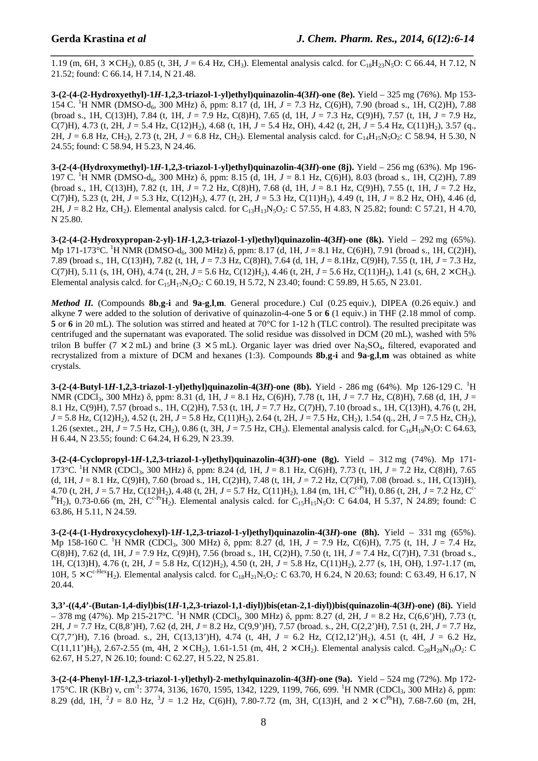*\_\_\_\_\_\_\_\_\_\_\_\_\_\_\_\_\_\_\_\_\_\_\_\_\_\_\_\_\_\_\_\_\_\_\_\_\_\_\_\_\_\_\_\_\_\_\_\_\_\_\_\_\_\_\_\_\_\_\_\_\_\_\_\_\_\_\_\_\_\_\_\_\_\_\_\_\_\_* 1.19 (m, 6H,  $3 \times CH_2$ ), 0.85 (t, 3H,  $J = 6.4$  Hz, CH<sub>3</sub>). Elemental analysis calcd. for C<sub>18</sub>H<sub>23</sub>N<sub>5</sub>O: C 66.44, H 7.12, N 21.52; found: C 66.14, H 7.14, N 21.48.

**3-(2-(4-(2-Hydroxyethyl)-1***H***-1,2,3-triazol-1-yl)ethyl)quinazolin-4(3***H***)-one (8e).** Yield – 325 mg (76%). Mp 153- 154 C. <sup>1</sup>H NMR (DMSO-d6, 300 MHz) δ, ppm: 8.17 (d, 1H, *J* = 7.3 Hz, C(6)H), 7.90 (broad s., 1H, C(2)H), 7.88 (broad s., 1H, C(13)H), 7.84 (t, 1H, *J* = 7.9 Hz, C(8)H), 7.65 (d, 1H, *J* = 7.3 Hz, C(9)H), 7.57 (t, 1H, *J* = 7.9 Hz, C(7)H), 4.73 (t, 2H,  $J = 5.4$  Hz, C(12)H<sub>2</sub>), 4.68 (t, 1H,  $J = 5.4$  Hz, OH), 4.42 (t, 2H,  $J = 5.4$  Hz, C(11)H<sub>2</sub>), 3.57 (q., 2H,  $J = 6.8$  Hz, CH<sub>2</sub>), 2.73 (t, 2H,  $J = 6.8$  Hz, CH<sub>2</sub>). Elemental analysis calcd. for C<sub>14</sub>H<sub>15</sub>N<sub>5</sub>O<sub>2</sub>: C 58.94, H 5.30, N 24.55; found: C 58.94, H 5.23, N 24.46.

**3-(2-(4-(Hydroxymethyl)-1***H***-1,2,3-triazol-1-yl)ethyl)quinazolin-4(3***H***)-one (8j).** Yield – 256 mg (63%). Mp 196- 197 C. <sup>1</sup>H NMR (DMSO-d6, 300 MHz) δ, ppm: 8.15 (d, 1H, *J* = 8.1 Hz, C(6)H), 8.03 (broad s., 1H, C(2)H), 7.89 (broad s., 1H, C(13)H), 7.82 (t, 1H, *J* = 7.2 Hz, C(8)H), 7.68 (d, 1H, *J* = 8.1 Hz, C(9)H), 7.55 (t, 1H, *J* = 7.2 Hz, C(7)H), 5.23 (t, 2H,  $J = 5.3$  Hz, C(12)H<sub>2</sub>), 4.77 (t, 2H,  $J = 5.3$  Hz, C(11)H<sub>2</sub>), 4.49 (t, 1H,  $J = 8.2$  Hz, OH), 4.46 (d, 2H,  $J = 8.2$  Hz, CH<sub>2</sub>). Elemental analysis calcd. for C<sub>13</sub>H<sub>13</sub>N<sub>5</sub>O<sub>2</sub>: C 57.55, H 4.83, N 25.82; found: C 57.21, H 4.70, N 25.80.

**3-(2-(4-(2-Hydroxypropan-2-yl)-1***H***-1,2,3-triazol-1-yl)ethyl)quinazolin-4(3***H***)-one (8k).** Yield – 292 mg (65%). Mp 171-173<sup>o</sup>C. <sup>1</sup>H NMR (DMSO-d<sub>6</sub>, 300 MHz) δ, ppm: 8.17 (d, 1H, *J* = 8.1 Hz, C(6)H), 7.91 (broad s., 1H, C(2)H), 7.89 (broad s., 1H, C(13)H), 7.82 (t, 1H, *J* = 7.3 Hz, C(8)H), 7.64 (d, 1H, *J* = 8.1Hz, C(9)H), 7.55 (t, 1H, *J* = 7.3 Hz, C(7)H), 5.11 (s, 1H, OH), 4.74 (t, 2H,  $J = 5.6$  Hz, C(12)H<sub>2</sub>), 4.46 (t, 2H,  $J = 5.6$  Hz, C(11)H<sub>2</sub>), 1.41 (s, 6H, 2 × CH<sub>3</sub>). Elemental analysis calcd. for  $C_{15}H_{17}N_5O_2$ : C 60.19, H 5.72, N 23.40; found: C 59.89, H 5.65, N 23.01.

*Method II.* (Compounds **8b**,**g**-**i** and **9a**-**g**,**l**,**m**. General procedure.) CuI (0.25 equiv.), DIPEA (0.26 equiv.) and alkyne **7** were added to the solution of derivative of quinazolin-4-one **5** or **6** (1 equiv.) in THF (2.18 mmol of comp. **5** or **6** in 20 mL). The solution was stirred and heated at 70°C for 1-12 h (TLC control). The resulted precipitate was centrifuged and the supernatant was evaporated. The solid residue was dissolved in DCM (20 mL), washed with 5% trilon B buffer (7  $\times$  2 mL) and brine (3  $\times$  5 mL). Organic layer was dried over Na<sub>2</sub>SO<sub>4</sub>, filtered, evaporated and recrystalized from a mixture of DCM and hexanes (1:3). Compounds **8b**,**g**-**i** and **9a**-**g**,**l**,**m** was obtained as white crystals.

**3-(2-(4-Butyl-1***H***-1,2,3-triazol-1-yl)ethyl)quinazolin-4(3***H***)-one (8b).** Yield - 286 mg (64%). Mp 126-129 C. <sup>1</sup>H NMR (CDCl3, 300 MHz) δ, ppm: 8.31 (d, 1H, *J* = 8.1 Hz, C(6)H), 7.78 (t, 1H, *J* = 7.7 Hz, C(8)H), 7.68 (d, 1H, *J* = 8.1 Hz, C(9)H), 7.57 (broad s., 1H, C(2)H), 7.53 (t, 1H, *J* = 7.7 Hz, C(7)H), 7.10 (broad s., 1H, C(13)H), 4.76 (t, 2H, *J* = 5.8 Hz, C(12)H<sub>2</sub>), 4.52 (t, 2H, *J* = 5.8 Hz, C(11)H<sub>2</sub>), 2.64 (t, 2H, *J* = 7.5 Hz, CH<sub>2</sub>), 1.54 (q., 2H, *J* = 7.5 Hz, CH<sub>2</sub>), 1.26 (sextet., 2H,  $J = 7.5$  Hz, CH<sub>2</sub>), 0.86 (t, 3H,  $J = 7.5$  Hz, CH<sub>3</sub>). Elemental analysis calcd. for C<sub>16</sub>H<sub>19</sub>N<sub>5</sub>O: C 64.63, H 6.44, N 23.55; found: C 64.24, H 6.29, N 23.39.

**3-(2-(4-Cyclopropyl-1***H***-1,2,3-triazol-1-yl)ethyl)quinazolin-4(3***H***)-one (8g).** Yield – 312 mg (74%). Mp 171- 173°C. <sup>1</sup>H NMR (CDCl3, 300 MHz) δ, ppm: 8.24 (d, 1H, *J* = 8.1 Hz, C(6)H), 7.73 (t, 1H, *J* = 7.2 Hz, C(8)H), 7.65 (d, 1H,  $J = 8.1$  Hz, C(9)H), 7.60 (broad s., 1H, C(2)H), 7.48 (t, 1H,  $J = 7.2$  Hz, C(7)H), 7.08 (broad. s., 1H, C(13)H), 4.70 (t, 2H,  $J = 5.7$  Hz, C(12)H<sub>2</sub>), 4.48 (t, 2H,  $J = 5.7$  Hz, C(11)H<sub>2</sub>), 1.84 (m, 1H, C<sup>c-Pr</sup>H), 0.86 (t, 2H,  $J = 7.2$  Hz, C<sup>c-</sup>  $P^H$ H<sub>2</sub>), 0.73-0.66 (m, 2H, C<sup>c-Pr</sup>H<sub>2</sub>). Elemental analysis calcd. for C<sub>15</sub>H<sub>15</sub>N<sub>5</sub>O: C 64.04, H 5.37, N 24.89; found: C 63.86, H 5.11, N 24.59.

**3-(2-(4-(1-Hydroxycyclohexyl)-1***H***-1,2,3-triazol-1-yl)ethyl)quinazolin-4(3***H***)-one (8h).** Yield – 331 mg (65%). Mp 158-160 C. <sup>1</sup>H NMR (CDCl3, 300 MHz) δ, ppm: 8.27 (d, 1H, *J* = 7.9 Hz, C(6)H), 7.75 (t, 1H, *J* = 7.4 Hz, C(8)H), 7.62 (d, 1H, *J* = 7.9 Hz, C(9)H), 7.56 (broad s., 1H, C(2)H), 7.50 (t, 1H, *J* = 7.4 Hz, C(7)H), 7.31 (broad s., 1H, C(13)H), 4.76 (t, 2H, *J* = 5.8 Hz, C(12)H2), 4.50 (t, 2H, *J* = 5.8 Hz, C(11)H2), 2.77 (s, 1H, OH), 1.97-1.17 (m, 10H,  $5 \times C^{c-Hex}$ H<sub>2</sub>). Elemental analysis calcd. for C<sub>18</sub>H<sub>21</sub>N<sub>5</sub>O<sub>2</sub>: C 63.70, H 6.24, N 20.63; found: C 63.49, H 6.17, N 20.44.

**3,3'-((4,4'-(Butan-1,4-diyl)bis(1***H***-1,2,3-triazol-1,1-diyl))bis(etan-2,1-diyl))bis(quinazolin-4(3***H***)-one) (8i).** Yield  $-$  378 mg (47%). Mp 215-217°C. <sup>1</sup>H NMR (CDCl<sub>3</sub>, 300 MHz)  $\delta$ , ppm: 8.27 (d, 2H,  $J = 8.2$  Hz, C(6,6')H), 7.73 (t, 2H, *J* = 7.7 Hz, C(8,8')H), 7.62 (d, 2H, *J* = 8.2 Hz, C(9,9')H), 7.57 (broad. s., 2H, C(2,2')H), 7.51 (t, 2H, *J* = 7.7 Hz, C(7,7')H), 7.16 (broad. s., 2H, C(13,13')H), 4.74 (t, 4H, *J* = 6.2 Hz, C(12,12')H2), 4.51 (t, 4H, *J* = 6.2 Hz, C(11,11')H<sub>2</sub>), 2.67-2.55 (m, 4H, 2 × CH<sub>2</sub>), 1.61-1.51 (m, 4H, 2 × CH<sub>2</sub>). Elemental analysis calcd. C<sub>28</sub>H<sub>28</sub>N<sub>10</sub>O<sub>2</sub>: C 62.67, H 5.27, N 26.10; found: C 62.27, H 5.22, N 25.81.

**3-(2-(4-Phenyl-1***H***-1,2,3-triazol-1-yl)ethyl)-2-methylquinazolin-4(3***H***)-one (9a).** Yield – 524 mg (72%). Mp 172- 175°C. IR (KBr) ν, cm<sup>-1</sup>: 3774, 3136, 1670, 1595, 1342, 1229, 1199, 766, 699. <sup>1</sup>H NMR (CDCl<sub>3</sub>, 300 MHz) δ, ppm: 8.29 (dd, 1H,  ${}^{2}J = 8.0$  Hz,  ${}^{3}J = 1.2$  Hz, C(6)H), 7.80-7.72 (m, 3H, C(13)H, and  $2 \times C^{Ph}$ H), 7.68-7.60 (m, 2H,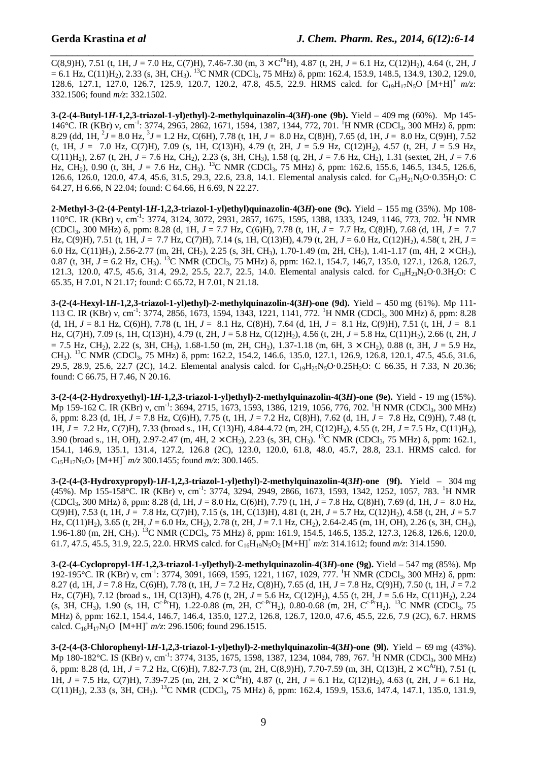*\_\_\_\_\_\_\_\_\_\_\_\_\_\_\_\_\_\_\_\_\_\_\_\_\_\_\_\_\_\_\_\_\_\_\_\_\_\_\_\_\_\_\_\_\_\_\_\_\_\_\_\_\_\_\_\_\_\_\_\_\_\_\_\_\_\_\_\_\_\_\_\_\_\_\_\_\_\_* C(8,9)H), 7.51 (t, 1H,  $J = 7.0$  Hz, C(7)H), 7.46-7.30 (m,  $3 \times C^{Ph}H$ ), 4.87 (t, 2H,  $J = 6.1$  Hz, C(12)H<sub>2</sub>), 4.64 (t, 2H, *J*  $= 6.1$  Hz, C(11)H<sub>2</sub>), 2.33 (s, 3H, CH<sub>3</sub>). <sup>13</sup>C NMR (CDCl<sub>3</sub>, 75 MHz)  $\delta$ , ppm: 162.4, 153.9, 148.5, 134.9, 130.2, 129.0, 128.6, 127.1, 127.0, 126.7, 125.9, 120.7, 120.2, 47.8, 45.5, 22.9. HRMS calcd. for C19H17N5O [M+H]<sup>+</sup> *m/z*: 332.1506; found *m/z*: 332.1502.

**3-(2-(4-Butyl-1***H***-1,2,3-triazol-1-yl)ethyl)-2-methylquinazolin-4(3***H***)-one (9b).** Yield – 409 mg (60%). Mp 145- 146°C. IR (KBr) ν, cm<sup>-1</sup>: 3774, 2965, 2862, 1671, 1594, 1387, 1344, 772, 701. <sup>1</sup>H NMR (CDCl<sub>3</sub>, 300 MHz) δ, ppm: 8.29 (dd, 1H,  ${}^{2}J = 8.0$  Hz,  ${}^{3}J = 1.2$  Hz, C(6H), 7.78 (t, 1H,  $J = 8.0$  Hz, C(8)H), 7.65 (d, 1H,  $J = 8.0$  Hz, C(9)H), 7.52 (t, 1H, *J* = 7.0 Hz, C(7)H), 7.09 (s, 1H, C(13)H), 4.79 (t, 2H, *J* = 5.9 Hz, C(12)H2), 4.57 (t, 2H, *J* = 5.9 Hz, C(11)H<sub>2</sub>), 2.67 (t, 2H,  $J = 7.6$  Hz, CH<sub>2</sub>), 2.23 (s, 3H, CH<sub>3</sub>), 1.58 (g, 2H,  $J = 7.6$  Hz, CH<sub>2</sub>), 1.31 (sextet, 2H,  $J = 7.6$ Hz, CH2), 0.90 (t, 3H, *J* = 7.6 Hz, CH3). <sup>13</sup>C NMR (CDCl3, 75 MHz) δ, ppm: 162.6, 155.6, 146.5, 134.5, 126.6, 126.6, 126.0, 120.0, 47.4, 45.6, 31.5, 29.3, 22.6, 23.8, 14.1. Elemental analysis calcd. for C<sub>17</sub>H<sub>21</sub>N<sub>5</sub>O·0.35H<sub>2</sub>O: C 64.27, H 6.66, N 22.04; found: C 64.66, H 6.69, N 22.27.

**2-Methyl-3-(2-(4-Pentyl-1***H***-1,2,3-triazol-1-yl)ethyl)quinazolin-4(3***H***)-one (9c).** Yield – 155 mg (35%). Mp 108- 110°C. IR (KBr) ν, cm-1: 3774, 3124, 3072, 2931, 2857, 1675, 1595, 1388, 1333, 1249, 1146, 773, 702. <sup>1</sup>H NMR (CDCl3, 300 MHz) δ, ppm: 8.28 (d, 1H, *J* = 7.7 Hz, C(6)H), 7.78 (t, 1H, *J* = 7.7 Hz, C(8)H), 7.68 (d, 1H, *J* = 7.7 Hz, C(9)H), 7.51 (t, 1H, *J* = 7.7 Hz, C(7)H), 7.14 (s, 1H, C(13)H), 4.79 (t, 2H, *J* = 6.0 Hz, C(12)H2), 4.58( t, 2H, *J* = 6.0 Hz, C(11)H<sub>2</sub>), 2.56-2.77 (m, 2H, CH<sub>2</sub>), 2.25 (s, 3H, CH<sub>3</sub>), 1.70-1.49 (m, 2H, CH<sub>2</sub>), 1.41-1.17 (m, 4H, 2  $\times$  CH<sub>2</sub>), 0.87 (t, 3H, *J* = 6.2 Hz, CH<sub>3</sub>). <sup>13</sup>C NMR (CDCl<sub>3</sub>, 75 MHz) δ, ppm: 162.1, 154.7, 146,7, 135.0, 127.1, 126.8, 126.7, 121.3, 120.0, 47.5, 45.6, 31.4, 29.2, 25.5, 22.7, 22.5, 14.0. Elemental analysis calcd. for C<sub>18</sub>H<sub>23</sub>N<sub>5</sub>O·0.3H<sub>2</sub>O: C 65.35, H 7.01, N 21.17; found: C 65.72, H 7.01, N 21.18.

**3-(2-(4-Hexyl-1***H***-1,2,3-triazol-1-yl)ethyl)-2-methylquinazolin-4(3***H***)-one (9d).** Yield – 450 mg (61%). Mp 111- 113 C. IR (KBr) ν, cm<sup>-1</sup>: 3774, 2856, 1673, 1594, 1343, 1221, 1141, 772. <sup>1</sup>H NMR (CDCl<sub>3</sub>, 300 MHz) δ, ppm: 8.28 (d, 1H, *J* = 8.1 Hz, C(6)H), 7.78 (t, 1H, *J* = 8.1 Hz, C(8)H), 7.64 (d, 1H, *J* = 8.1 Hz, C(9)H), 7.51 (t, 1H, *J* = 8.1 Hz, C(7)H), 7.09 (s, 1H, C(13)H), 4.79 (t, 2H, *J* = 5.8 Hz, C(12)H<sub>2</sub>), 4.56 (t, 2H, *J* = 5.8 Hz, C(11)H<sub>2</sub>), 2.66 (t, 2H, *J*  $= 7.5$  Hz, CH<sub>2</sub>), 2.22 (s, 3H, CH<sub>3</sub>), 1.68-1.50 (m, 2H, CH<sub>2</sub>), 1.37-1.18 (m, 6H, 3  $\times$  CH<sub>2</sub>), 0.88 (t, 3H, *J* = 5.9 Hz, CH<sub>3</sub>). <sup>13</sup>C NMR (CDCl<sub>3</sub>, 75 MHz) δ, ppm: 162.2, 154.2, 146.6, 135.0, 127.1, 126.9, 126.8, 120.1, 47.5, 45.6, 31.6, 29.5, 28.9, 25.6, 22.7 (2C), 14.2. Elemental analysis calcd. for C<sub>19</sub>H<sub>25</sub>N<sub>5</sub>O·0.25H<sub>2</sub>O: C 66.35, H 7.33, N 20.36; found: C 66.75, H 7.46, N 20.16.

**3-(2-(4-(2-Hydroxyethyl)-1***H***-1,2,3-triazol-1-yl)ethyl)-2-methylquinazolin-4(3***H***)-one (9e).** Yield - 19 mg (15%). Mp 159-162 C. IR (KBr) ν, cm<sup>-1</sup>: 3694, 2715, 1673, 1593, 1386, 1219, 1056, 776, 702. <sup>1</sup>H NMR (CDCl<sub>3</sub>, 300 MHz) δ, ppm: 8.23 (d, 1H, *J* = 7.8 Hz, C(6)H), 7.75 (t, 1H, *J* = 7.2 Hz, C(8)H), 7.62 (d, 1H, *J* = 7.8 Hz, C(9)H), 7.48 (t, 1H, *J* = 7.2 Hz, C(7)H), 7.33 (broad s., 1H, C(13)H), 4.84-4.72 (m, 2H, C(12)H2), 4.55 (t, 2H, *J* = 7.5 Hz, C(11)H2), 3.90 (broad s., 1H, OH), 2.97-2.47 (m, 4H, 2 × CH<sub>2</sub>), 2.23 (s, 3H, CH<sub>3</sub>). <sup>13</sup>C NMR (CDCl<sub>3</sub>, 75 MHz) δ, ppm: 162.1, 154.1, 146.9, 135.1, 131.4, 127.2, 126.8 (2C), 123.0, 120.0, 61.8, 48.0, 45.7, 28.8, 23.1. HRMS calcd. for  $C_{15}H_{17}N_5O_2$  [M+H]<sup>+</sup>  $m/z$  300.1455; found  $m/z$ : 300.1465.

**3-(2-(4-(3-Hydroxypropyl)-1***H***-1,2,3-triazol-1-yl)ethyl)-2-methylquinazolin-4(3***H***)-one (9f).** Yield – 304 mg (45%). Mp 155-158°C. IR (KBr) ν, cm-1: 3774, 3294, 2949, 2866, 1673, 1593, 1342, 1252, 1057, 783. <sup>1</sup>H NMR (CDCl3, 300 MHz) δ, ppm: 8.28 (d, 1H, *J* = 8.0 Hz, C(6)H), 7.79 (t, 1H, *J* = 7.8 Hz, C(8)H), 7.69 (d, 1H, *J* = 8.0 Hz, C(9)H), 7.53 (t, 1H, *J* = 7.8 Hz, C(7)H), 7.15 (s, 1H, C(13)H), 4.81 (t, 2H, *J* = 5.7 Hz, C(12)H2), 4.58 (t, 2H, *J* = 5.7 Hz, C(11)H2), 3.65 (t, 2H, *J* = 6.0 Hz, CH2), 2.78 (t, 2H, *J* = 7.1 Hz, CH2), 2.64-2.45 (m, 1H, OH), 2.26 (s, 3H, CH3), 1.96-1.80 (m, 2H, CH2). <sup>13</sup>C NMR (CDCl3, 75 MHz) δ, ppm: 161.9, 154.5, 146.5, 135.2, 127.3, 126.8, 126.6, 120.0, 61.7, 47.5, 45.5, 31.9, 22.5, 22.0. HRMS calcd. for  $C_{16}H_{19}N_5O_2 [M+H]^+ m/z$ : 314.1612; found  $m/z$ : 314.1590.

**3-(2-(4-Cyclopropyl-1***H***-1,2,3-triazol-1-yl)ethyl)-2-methylquinazolin-4(3***H***)-one (9g).** Yield – 547 mg (85%). Mp 192-195°C. IR (KBr) ν, cm<sup>-1</sup>: 3774, 3091, 1669, 1595, 1221, 1167, 1029, 777. <sup>1</sup>H NMR (CDCl<sub>3</sub>, 300 MHz) δ, ppm: 8.27 (d, 1H, *J* = 7.8 Hz, C(6)H), 7.78 (t, 1H, *J* = 7.2 Hz, C(8)H), 7.65 (d, 1H, *J* = 7.8 Hz, C(9)H), 7.50 (t, 1H, *J* = 7.2 Hz, C(7)H), 7.12 (broad s., 1H, C(13)H), 4.76 (t, 2H,  $J = 5.6$  Hz, C(12)H<sub>2</sub>), 4.55 (t, 2H,  $J = 5.6$  Hz, C(11)H<sub>2</sub>), 2.24  $($ s, 3H, CH<sub>3</sub>), 1.90 (s, 1H, C<sup>c-Pr</sup>H), 1.22-0.88 (m, 2H, C<sup>c-Pr</sup>H<sub>2</sub>), 0.80-0.68 (m, 2H, C<sup>c-Pr</sup>H<sub>2</sub>). <sup>13</sup>C NMR (CDCl<sub>3</sub>, 75 MHz) δ, ppm: 162.1, 154.4, 146.7, 146.4, 135.0, 127.2, 126.8, 126.7, 120.0, 47.6, 45.5, 22.6, 7.9 (2C), 6.7. HRMS calcd.  $C_{16}H_{17}N_5O$   $[M+H]^+m/z$ : 296.1506; found 296.1515.

**3-(2-(4-(3-Chlorophenyl-1***H***-1,2,3-triazol-1-yl)ethyl)-2-methylquinazolin-4(3***H***)-one (9l).** Yield – 69 mg (43%). Mp 180-182°C. IS (KBr) ν, cm<sup>-1</sup>: 3774, 3135, 1675, 1598, 1387, 1234, 1084, 789, 767. <sup>1</sup>H NMR (CDCl<sub>3</sub>, 300 MHz)  $\delta$ , ppm: 8.28 (d, 1H, *J* = 7.2 Hz, C(6)H), 7.82-7.73 (m, 2H, C(8,9)H), 7.70-7.59 (m, 3H, C(13)H, 2 × C<sup>Ar</sup>H), 7.51 (t, 1H,  $J = 7.5$  Hz, C(7)H), 7.39-7.25 (m, 2H, 2  $\times$  C<sup>Ar</sup>H), 4.87 (t, 2H,  $J = 6.1$  Hz, C(12)H<sub>2</sub>), 4.63 (t, 2H,  $J = 6.1$  Hz, C(11)H<sub>2</sub>), 2.33 (s, 3H, CH<sub>3</sub>). <sup>13</sup>C NMR (CDCl<sub>3</sub>, 75 MHz)  $\delta$ , ppm: 162.4, 159.9, 153.6, 147.4, 147.1, 135.0, 131.9,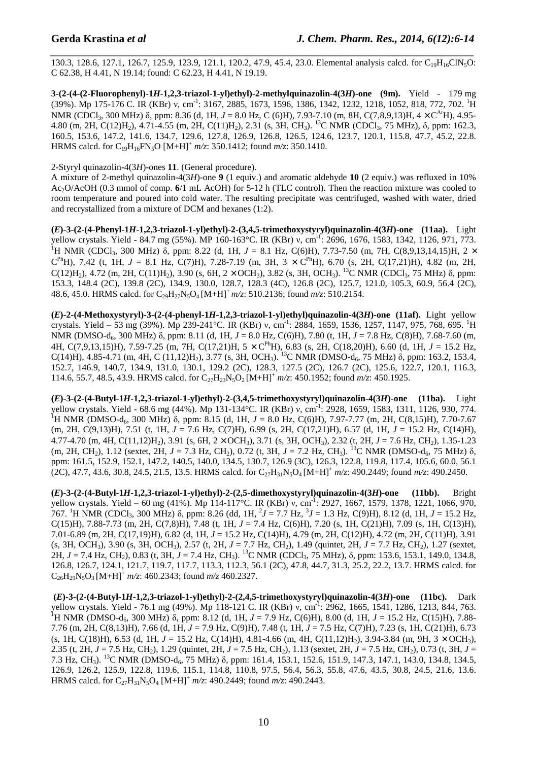*\_\_\_\_\_\_\_\_\_\_\_\_\_\_\_\_\_\_\_\_\_\_\_\_\_\_\_\_\_\_\_\_\_\_\_\_\_\_\_\_\_\_\_\_\_\_\_\_\_\_\_\_\_\_\_\_\_\_\_\_\_\_\_\_\_\_\_\_\_\_\_\_\_\_\_\_\_\_* 130.3, 128.6, 127.1, 126.7, 125.9, 123.9, 121.1, 120.2, 47.9, 45.4, 23.0. Elemental analysis calcd. for C<sub>19</sub>H<sub>16</sub>ClN<sub>5</sub>O: C 62.38, H 4.41, N 19.14; found: C 62.23, H 4.41, N 19.19.

**3-(2-(4-(2-Fluorophenyl)-1***H***-1,2,3-triazol-1-yl)ethyl)-2-methylquinazolin-4(3***H***)-one (9m).** Yield - 179 mg (39%). Mp 175-176 C. IR (KBr) v, cm<sup>-1</sup>: 3167, 2885, 1673, 1596, 1386, 1342, 1232, 1218, 1052, 818, 772, 702. <sup>1</sup>H NMR (CDCl<sub>3</sub>, 300 MHz) δ, ppm: 8.36 (d, 1H, *J* = 8.0 Hz, C (6)H), 7.93-7.10 (m, 8H, C(7,8,9,13)H, 4 × C<sup>Ar</sup>H), 4.95-4.80 (m, 2H, C(12)H<sub>2</sub>), 4.71-4.55 (m, 2H, C(11)H<sub>2</sub>), 2.31 (s, 3H, CH<sub>3</sub>). <sup>13</sup>C NMR (CDCl<sub>3</sub>, 75 MHz),  $\delta$ , ppm: 162.3, 160.5, 153.6, 147.2, 141.6, 134.7, 129.6, 127.8, 126.9, 126.8, 126.5, 124.6, 123.7, 120.1, 115.8, 47.7, 45.2, 22.8. HRMS calcd. for C19H16FN5O [M+H]<sup>+</sup> *m/z*: 350.1412; found *m/z*: 350.1410.

#### 2-Styryl quinazolin-4(3*H*)-ones **11**. (General procedure).

A mixture of 2-methyl quinazolin-4(3*H*)-one **9** (1 equiv.) and aromatic aldehyde **10** (2 equiv.) was refluxed in 10% Ac2O/AcOH (0.3 mmol of comp. **6**/1 mL AcOH) for 5-12 h (TLC control). Then the reaction mixture was cooled to room temperature and poured into cold water. The resulting precipitate was centrifuged, washed with water, dried and recrystallized from a mixture of DCM and hexanes (1:2).

**(***E***)-3-(2-(4-Phenyl-1***H***-1,2,3-triazol-1-yl)ethyl)-2-(3,4,5-trimethoxystyryl)quinazolin-4(3***H***)-one (11aa).** Light yellow crystals. Yield **-** 84.7 mg (55%). MP 160-163°C. IR (KBr) ν, cm-1: 2696, 1676, 1583, 1342, 1126, 971, 773. <sup>1</sup>H NMR (CDCl<sub>3</sub>, 300 MHz)  $\delta$ , ppm: 8.22 (d, 1H, *J* = 8.1 Hz, C(6)H), 7.73-7.50 (m, 7H, C(8,9,13,14,15)H, 2 ×  $C^{Ph}H$ ), 7.42 (t, 1H, *J* = 8.1 Hz, C(7)H), 7.28-7.19 (m, 3H, 3 ×  $C^{Ph}H$ ), 6.70 (s, 2H, C(17,21)H), 4.82 (m, 2H, C(12)H<sub>2</sub>), 4.72 (m, 2H, C(11)H<sub>2</sub>), 3.90 (s, 6H, 2 × OCH<sub>3</sub>), 3.82 (s, 3H, OCH<sub>3</sub>). <sup>13</sup>C NMR (CDCl<sub>3</sub>, 75 MHz)  $\delta$ , ppm: 153.3, 148.4 (2C), 139.8 (2C), 134.9, 130.0, 128.7, 128.3 (4C), 126.8 (2C), 125.7, 121.0, 105.3, 60.9, 56.4 (2C), 48.6, 45.0. HRMS calcd. for C29H27N5O4 [M+H]<sup>+</sup>*m/z*: 510.2136; found *m/z*: 510.2154.

**(***E***)-2-(4-Methoxystyryl)-3-(2-(4-phenyl-1***H***-1,2,3-triazol-1-yl)ethyl)quinazolin-4(3***H***)-one (11af).** Light yellow crystals. Yield – 53 mg (39%). Mp 239-241°C. IR (KBr) ν, cm<sup>-1</sup>: 2884, 1659, 1536, 1257, 1147, 975, 768, 695. <sup>1</sup>H NMR (DMSO-d6, 300 MHz) δ, ppm: 8.11 (d, 1H, *J* = 8.0 Hz, C(6)H), 7.80 (t, 1H, *J* = 7.8 Hz, C(8)H), 7.68-7.60 (m, 4H, C(7,9,13,15)H), 7.59-7.25 (m, 7H, C(17,21)H,  $5 \times C^{Ph}$ H), 6.83 (s, 2H, C(18,20)H), 6.60 (d, 1H,  $J = 15.2$  Hz, C(14)H),  $4.85-4.71$  (m, 4H, C (11,12)H<sub>2</sub>),  $3.77$  (s, 3H, OCH<sub>3</sub>). <sup>13</sup>C NMR (DMSO-d<sub>6</sub>, 75 MHz)  $\delta$ , ppm: 163.2, 153.4, 152.7, 146.9, 140.7, 134.9, 131.0, 130.1, 129.2 (2C), 128.3, 127.5 (2C), 126.7 (2C), 125.6, 122.7, 120.1, 116.3, 114.6, 55.7, 48.5, 43.9. HRMS calcd. for  $C_{27}H_{23}N_5O_2 [M+H]^+ m/z$ : 450.1952; found  $m/z$ : 450.1925.

**(***E***)-3-(2-(4-Butyl-1***H***-1,2,3-triazol-1-yl)ethyl)-2-(3,4,5-trimethoxystyryl)quinazolin-4(3***H***)-one (11ba).** Light yellow crystals. Yield - 68.6 mg (44%). Mp 131-134°C. IR (KBr) ν, cm-1: 2928, 1659, 1583, 1311, 1126, 930, 774. <sup>1</sup>H NMR (DMSO-d<sub>6</sub>, 300 MHz) δ, ppm: 8.15 (d, 1H, *J* = 8.0 Hz, C(6)H), 7.97-7.77 (m, 2H, C(8,15)H), 7.70-7.67 (m, 2H, C(9,13)H), 7.51 (t, 1H, *J* = 7.6 Hz, C(7)H), 6.99 (s, 2H, C(17,21)H), 6.57 (d, 1H, *J* = 15.2 Hz, C(14)H), 4.77-4.70 (m, 4H, C(11,12)H2), 3.91 (s, 6H, 2 × OCH3), 3.71 (s, 3H, OCH3), 2.32 (t, 2H, *J* = 7.6 Hz, CH2), 1.35-1.23 (m, 2H, CH2), 1.12 (sextet, 2H, *J* = 7.3 Hz, CH2), 0.72 (t, 3H, *J* = 7.2 Hz, CH3). <sup>13</sup>C NMR (DMSO-d6, 75 MHz) δ, ppm: 161.5, 152.9, 152.1, 147.2, 140.5, 140.0, 134.5, 130.7, 126.9 (3C), 126.3, 122.8, 119.8, 117.4, 105.6, 60.0, 56.1  $(2C)$ , 47.7, 43.6, 30.8, 24.5, 21.5, 13.5. HRMS calcd. for  $C_{27}H_{31}N_5O_4$  [M+H]<sup>+</sup>  $m/z$ : 490.2449; found  $m/z$ : 490.2450.

**(***E***)-3-(2-(4-Butyl-1***H***-1,2,3-triazol-1-yl)ethyl)-2-(2,5-dimethoxystyryl)quinazolin-4(3***H***)-one (11bb).** Bright yellow crystals. Yield – 60 mg (41%). Mp 114-117°C. IR (KBr) ν, cm<sup>-1</sup>: 2927, 1667, 1579, 1378, 1221, 1066, 970, 767. <sup>1</sup>H NMR (CDCl<sub>3</sub>, 300 MHz)  $\delta$ , ppm: 8.26 (dd, 1H,  $^2J = 7.7$  Hz,  $^3J = 1.3$  Hz, C(9)H), 8.12 (d, 1H,  $J = 15.2$  Hz, C(15)H), 7.88-7.73 (m, 2H, C(7,8)H), 7.48 (t, 1H, *J* = 7.4 Hz, C(6)H), 7.20 (s, 1H, C(21)H), 7.09 (s, 1H, C(13)H), 7.01-6.89 (m, 2H, C(17,19)H), 6.82 (d, 1H, *J* = 15.2 Hz, C(14)H), 4.79 (m, 2H, C(12)H), 4.72 (m, 2H, C(11)H), 3.91  $(s, 3H, OCH_3)$ , 3.90  $(s, 3H, OCH_3)$ , 2.57  $(t, 2H, J = 7.7 Hz, CH_2)$ , 1.49 (quintet, 2H,  $J = 7.7 Hz, CH_2)$ , 1.27 (sextet, 2H, *J* = 7.4 Hz, CH2), 0.83 (t, 3H, *J* = 7.4 Hz, CH3). <sup>13</sup>C NMR (CDCl3, 75 MHz), δ, ppm: 153.6, 153.1, 149.0, 134.8, 126.8, 126.7, 124.1, 121.7, 119.7, 117.7, 113.3, 112.3, 56.1 (2C), 47.8, 44.7, 31.3, 25.2, 22.2, 13.7. HRMS calcd. for  $C_{26}H_{29}N_5O_3 [M+H]^+ m/z$ : 460.2343; found  $m/z$  460.2327.

 **(***E***)-3-(2-(4-Butyl-1***H***-1,2,3-triazol-1-yl)ethyl)-2-(2,4,5-trimethoxystyryl)quinazolin-4(3***H***)-one (11bc).** Dark yellow crystals. Yield - 76.1 mg (49%). Mp 118-121 C. IR (KBr) ν, cm<sup>-1</sup>: 2962, 1665, 1541, 1286, 1213, 844, 763. <sup>1</sup>H NMR (DMSO-d<sub>6</sub>, 300 MHz) δ, ppm: 8.12 (d, 1H, *J* = 7.9 Hz, C(6)H), 8.00 (d, 1H, *J* = 15.2 Hz, C(15)H), 7.88-7.76 (m, 2H, C(8,13)H), 7.66 (d, 1H, *J* = 7.9 Hz, C(9)H), 7.48 (t, 1H, *J* = 7.5 Hz, C(7)H), 7.23 (s, 1H, C(21)H), 6.73  $(s, 1H, C(18)H)$ , 6.53 (d, 1H,  $J = 15.2$  Hz, C(14)H), 4.81-4.66 (m, 4H, C(11,12)H<sub>2</sub>), 3.94-3.84 (m, 9H, 3  $\times$  OCH<sub>3</sub>), 2.35 (t, 2H, *J* = 7.5 Hz, CH<sub>2</sub>), 1.29 (quintet, 2H, *J* = 7.5 Hz, CH<sub>2</sub>), 1.13 (sextet, 2H, *J* = 7.5 Hz, CH<sub>2</sub>), 0.73 (t, 3H, *J* = 7.3 Hz, CH3). <sup>13</sup>C NMR (DMSO-d6, 75 MHz) δ, ppm: 161.4, 153.1, 152.6, 151.9, 147.3, 147.1, 143.0, 134.8, 134.5, 126.9, 126.2, 125.9, 122.8, 119.6, 115.1, 114.8, 110.8, 97.5, 56.4, 56.3, 55.8, 47.6, 43.5, 30.8, 24.5, 21.6, 13.6. HRMS calcd. for  $C_{27}H_{31}N_5O_4$  [M+H]<sup>+</sup>  $m/z$ : 490.2449; found  $m/z$ : 490.2443.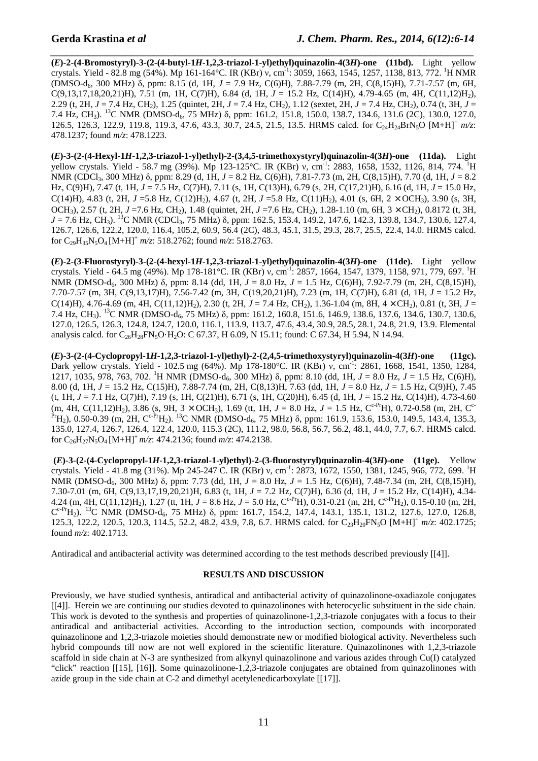*\_\_\_\_\_\_\_\_\_\_\_\_\_\_\_\_\_\_\_\_\_\_\_\_\_\_\_\_\_\_\_\_\_\_\_\_\_\_\_\_\_\_\_\_\_\_\_\_\_\_\_\_\_\_\_\_\_\_\_\_\_\_\_\_\_\_\_\_\_\_\_\_\_\_\_\_\_\_* **(***E***)-2-(4-Bromostyryl)-3-(2-(4-butyl-1***H***-1,2,3-triazol-1-yl)ethyl)quinazolin-4(3***H***)-one (11bd).** Light yellow crystals. Yield - 82.8 mg (54%). Mp 161-164°C. IR (KBr) ν, cm<sup>-1</sup>: 3059, 1663, 1545, 1257, 1138, 813, 772. <sup>1</sup>H NMR (DMSO-d6, 300 MHz) δ, ppm: 8.15 (d, 1H, *J* = 7.9 Hz, C(6)H), 7.88-7.79 (m, 2H, C(8,15)H), 7.71-7.57 (m, 6H, C(9,13,17,18,20,21)H), 7.51 (m, 1H, C(7)H), 6.84 (d, 1H, *J* = 15.2 Hz, C(14)H), 4.79-4.65 (m, 4H, C(11,12)H2), 2.29 (t, 2H, *J* = 7.4 Hz, CH2), 1.25 (quintet, 2H, *J* = 7.4 Hz, CH2), 1.12 (sextet, 2H, *J* = 7.4 Hz, CH2), 0.74 (t, 3H, *J* = 7.4 Hz, CH<sub>3</sub>). <sup>13</sup>C NMR (DMSO-d<sub>6</sub>, 75 MHz) δ, ppm: 161.2, 151.8, 150.0, 138.7, 134.6, 131.6 (2C), 130.0, 127.0, 126.5, 126.3, 122.9, 119.8, 119.3, 47.6, 43.3, 30.7, 24.5, 21.5, 13.5. HRMS calcd. for C24H24BrN5O [M+H]<sup>+</sup> *m/z*: 478.1237; found *m/z*: 478.1223.

**(***E***)-3-(2-(4-Hexyl-1***H***-1,2,3-triazol-1-yl)ethyl)-2-(3,4,5-trimethoxystyryl)quinazolin-4(3***H***)-one (11da).** Light yellow crystals. Yield - 58.7 mg (39%). Mp 123-125 °C. IR (KBr) ν, cm<sup>-1</sup>: 2883, 1658, 1532, 1126, 814, 774. <sup>1</sup>H NMR (CDCl<sub>3</sub>, 300 MHz) δ, ppm: 8.29 (d, 1H, *J* = 8.2 Hz, C(6)H), 7.81-7.73 (m, 2H, C(8,15)H), 7.70 (d, 1H, *J* = 8.2 Hz, C(9)H), 7.47 (t, 1H, *J* = 7.5 Hz, C(7)H), 7.11 (s, 1H, C(13)H), 6.79 (s, 2H, C(17,21)H), 6.16 (d, 1H, *J* = 15.0 Hz, C(14)H), 4.83 (t, 2H, *J* =5.8 Hz, C(12)H<sub>2</sub>), 4.67 (t, 2H, *J* =5.8 Hz, C(11)H<sub>2</sub>), 4.01 (s, 6H, 2 × OCH<sub>3</sub>), 3.90 (s, 3H, OCH<sub>3</sub>), 2.57 (t, 2H, *J* =7.6 Hz, CH<sub>2</sub>), 1.48 (quintet, 2H, *J* =7.6 Hz, CH<sub>2</sub>), 1.28-1.10 (m, 6H, 3 × CH<sub>2</sub>), 0.8172 (t, 3H, *J* = 7.6 Hz, CH<sub>3</sub>). <sup>13</sup>C NMR (CDCl<sub>3</sub>, 75 MHz) δ, ppm: 162.5, 153.4, 149.2, 147.6, 142.3, 139.8, 134.7, 130.6, 127.4, 126.7, 126.6, 122.2, 120.0, 116.4, 105.2, 60.9, 56.4 (2C), 48.3, 45.1, 31.5, 29.3, 28.7, 25.5, 22.4, 14.0. HRMS calcd. for  $C_{29}H_{35}N_5O_4$  [M+H]<sup>+</sup> *m/z*: 518.2762; found *m/z*: 518.2763.

**(***E***)-2-(3-Fluorostyryl)-3-(2-(4-hexyl-1***H***-1,2,3-triazol-1-yl)ethyl)quinazolin-4(3***H***)-one (11de).** Light yellow crystals. Yield - 64.5 mg (49%). Mp 178-181°C. IR (KBr) ν, cm<sup>-1</sup>: 2857, 1664, 1547, 1379, 1158, 971, 779, 697. <sup>1</sup>H NMR (DMSO-d6, 300 MHz) δ, ppm: 8.14 (dd, 1H, *J* = 8.0 Hz, *J* = 1.5 Hz, C(6)H), 7.92-7.79 (m, 2H, C(8,15)H), 7.70-7.57 (m, 3H, C(9,13,17)H), 7.56-7.42 (m, 3H, C(19,20,21)H), 7.23 (m, 1H, C(7)H), 6.81 (d, 1H, *J* = 15.2 Hz, C(14)H), 4.76-4.69 (m, 4H, C(11,12)H<sub>2</sub>), 2.30 (t, 2H,  $J = 7.4$  Hz, CH<sub>2</sub>), 1.36-1.04 (m, 8H,  $4 \times$ CH<sub>2</sub>), 0.81 (t, 3H,  $J =$ 7.4 Hz, CH<sub>3</sub>). <sup>13</sup>C NMR (DMSO-d<sub>6</sub>, 75 MHz) δ, ppm: 161.2, 160.8, 151.6, 146.9, 138.6, 137.6, 134.6, 130.7, 130.6, 127.0, 126.5, 126.3, 124.8, 124.7, 120.0, 116.1, 113.9, 113.7, 47.6, 43.4, 30.9, 28.5, 28.1, 24.8, 21.9, 13.9. Elemental analysis calcd. for  $C_{26}H_{28}FN_{3}O \cdot H_{2}O$ : C 67.37, H 6.09, N 15.11; found: C 67.34, H 5.94, N 14.94.

**(***E***)-3-(2-(4-Cyclopropyl-1***H***-1,2,3-triazol-1-yl)ethyl)-2-(2,4,5-trimethoxystyryl)quinazolin-4(3***H***)-one (11gc).**  Dark yellow crystals. Yield - 102.5 mg (64%). Mp 178-180°C. IR (KBr) ν, cm<sup>-1</sup>: 2861, 1668, 1541, 1350, 1284, 1217, 1035, 978, 763, 702. <sup>1</sup>H NMR (DMSO-d6, 300 MHz) δ, ppm: 8.10 (dd, 1H, *J* = 8.0 Hz, *J* = 1.5 Hz, C(6)H), 8.00 (d, 1H, *J* = 15.2 Hz, C(15)H), 7.88-7.74 (m, 2H, C(8,13)H, 7.63 (dd, 1H, *J* = 8.0 Hz, *J* = 1.5 Hz, C(9)H), 7.45 (t, 1H, *J* = 7.1 Hz, C(7)H), 7.19 (s, 1H, C(21)H), 6.71 (s, 1H, C(20)H), 6.45 (d, 1H, *J* = 15.2 Hz, C(14)H), 4.73-4.60 (m, 4H, C(11,12)H<sub>2</sub>), 3.86 (s, 9H, 3  $\times$  OCH<sub>3</sub>), 1.69 (tt, 1H, *J* = 8.0 Hz, *J* = 1.5 Hz, C<sup>c-Pr</sup>H), 0.72-0.58 (m, 2H, C<sup>c-</sup>  $\Pr_{H_2}$ ), 0.50-0.39 (m, 2H, C<sup>c-Pr</sup>H<sub>2</sub>). <sup>13</sup>C NMR (DMSO-d<sub>6</sub>, 75 MHz) δ, ppm: 161.9, 153.6, 153.0, 149.5, 143.4, 135.3, 135.0, 127.4, 126.7, 126.4, 122.4, 120.0, 115.3 (2C), 111.2, 98.0, 56.8, 56.7, 56.2, 48.1, 44.0, 7.7, 6.7. HRMS calcd. for C26H27N5O4 [M+H]<sup>+</sup>*m/z*: 474.2136; found *m/z*: 474.2138.

 **(***E***)-3-(2-(4-Cyclopropyl-1***H***-1,2,3-triazol-1-yl)ethyl)-2-(3-fluorostyryl)quinazolin-4(3***H***)-one (11ge).** Yellow crystals. Yield - 41.8 mg (31%). Mp 245-247 C. IR (KBr) ν, cm-1: 2873, 1672, 1550, 1381, 1245, 966, 772, 699. <sup>1</sup>H NMR (DMSO-d6, 300 MHz) δ, ppm: 7.73 (dd, 1H, *J* = 8.0 Hz, *J* = 1.5 Hz, C(6)H), 7.48-7.34 (m, 2H, C(8,15)H), 7.30-7.01 (m, 6H, C(9,13,17,19,20,21)H, 6.83 (t, 1H, *J* = 7.2 Hz, C(7)H), 6.36 (d, 1H, *J* = 15.2 Hz, C(14)H), 4.34- 4.24 (m, 4H, C(11,12)H<sub>2</sub>), 1.27 (tt, 1H,  $J = 8.6$  Hz,  $J = 5.0$  Hz, C<sup>c-Pr</sup>H), 0.31-0.21 (m, 2H, C<sup>c-Pr</sup>H<sub>2</sub>), 0.15-0.10 (m, 2H,  $C^{c-Pr}H_2$ ). <sup>13</sup>C NMR (DMSO-d<sub>6</sub>, 75 MHz) δ, ppm: 161.7, 154.2, 147.4, 143.1, 135.1, 131.2, 127.6, 127.0, 126.8, 125.3, 122.2, 120.5, 120.3, 114.5, 52.2, 48.2, 43.9, 7.8, 6.7. HRMS calcd. for C23H20FN5O [M+H]<sup>+</sup> *m/z*: 402.1725; found *m/z*: 402.1713.

Antiradical and antibacterial activity was determined according to the test methods described previously [[4]].

#### **RESULTS AND DISCUSSION**

Previously, we have studied synthesis, antiradical and antibacterial activity of quinazolinone-oxadiazole conjugates [[4]]. Herein we are continuing our studies devoted to quinazolinones with heterocyclic substituent in the side chain. This work is devoted to the synthesis and properties of quinazolinone-1,2,3-triazole conjugates with a focus to their antiradical and antibacterial activities. According to the introduction section, compounds with incorporated quinazolinone and 1,2,3-triazole moieties should demonstrate new or modified biological activity. Nevertheless such hybrid compounds till now are not well explored in the scientific literature. Quinazolinones with 1,2,3-triazole scaffold in side chain at N-3 are synthesized from alkynyl quinazolinone and various azides through Cu(I) catalyzed "click" reaction [[15], [16]]. Some quinazolinone-1,2,3-triazole conjugates are obtained from quinazolinones with azide group in the side chain at C-2 and dimethyl acetylenedicarboxylate [[17]].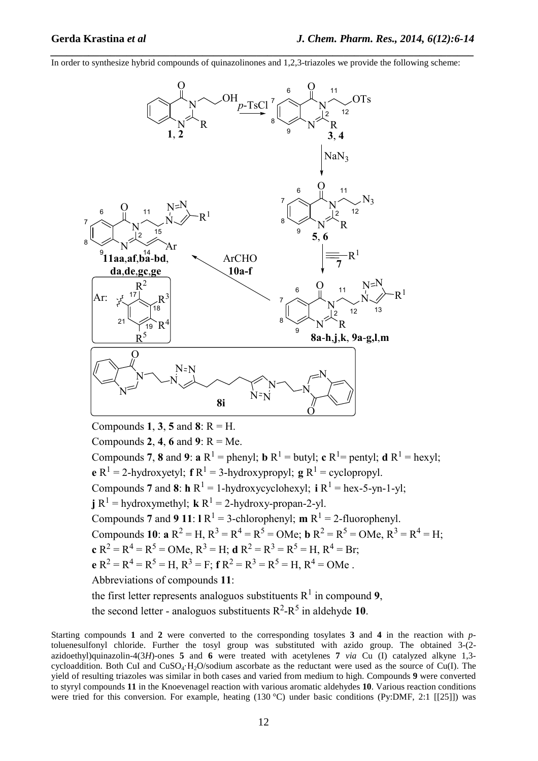In order to synthesize hybrid compounds of quinazolinones and 1,2,3-triazoles we provide the following scheme:

*\_\_\_\_\_\_\_\_\_\_\_\_\_\_\_\_\_\_\_\_\_\_\_\_\_\_\_\_\_\_\_\_\_\_\_\_\_\_\_\_\_\_\_\_\_\_\_\_\_\_\_\_\_\_\_\_\_\_\_\_\_\_\_\_\_\_\_\_\_\_\_\_\_\_\_\_\_\_*



Compounds 1, 3, 5 and 8:  $R = H$ . Compounds **2**, **4**, **6** and **9**:  $R = Me$ . Compounds 7, 8 and 9:  $a R^1$  = phenyl;  $b R^1$  = butyl;  $c R^1$  = pentyl;  $d R^1$  = hexyl; **e**  $R^1$  = 2-hydroxyetyl; **f**  $R^1$  = 3-hydroxypropyl; **g**  $R^1$  = cyclopropyl. Compounds **7** and **8**:  $\mathbf{h} \, \mathbf{R}^1 = 1$ -hydroxycyclohexyl;  $\mathbf{i} \, \mathbf{R}^1 = \text{hex-5-yn-1-yl}$ ; **j**  $R^1$  = hydroxymethyl; **k**  $R^1$  = 2-hydroxy-propan-2-yl. Compounds **7** and **9 11**:  $\mathbf{R}^1 = 3$ -chlorophenyl; **m**  $\mathbf{R}^1 = 2$ -fluorophenyl. Compounds **10**:  $\mathbf{a} \, \mathbf{R}^2 = \mathbf{H}, \, \mathbf{R}^3 = \mathbf{R}^4 = \mathbf{R}^5 = \mathbf{OMe}; \, \mathbf{b} \, \mathbf{R}^2 = \mathbf{R}^5 = \mathbf{OMe}, \, \mathbf{R}^3 = \mathbf{R}^4 = \mathbf{H};$ **c**  $R^2 = R^4 = R^5 = OMe$ ,  $R^3 = H$ ; **d**  $R^2 = R^3 = R^5 = H$ ,  $R^4 = Br$ ; **e**  $R^2 = R^4 = R^5 = H$ ,  $R^3 = F$ ; **f**  $R^2 = R^3 = R^5 = H$ ,  $R^4 = OMe$ . Abbreviations of compounds **11**: the first letter represents analoguos substituents  $R^1$  in compound 9, the second letter - analoguos substituents  $R^2-R^5$  in aldehyde 10.

Starting compounds **1** and **2** were converted to the corresponding tosylates **3** and **4** in the reaction with *p*toluenesulfonyl chloride. Further the tosyl group was substituted with azido group. The obtained 3-(2 azidoethyl)quinazolin-4(3*H*)-ones **5** and **6** were treated with acetylenes **7** *via* Cu (I) catalyzed alkyne 1,3 cycloaddition. Both CuI and  $CuSO<sub>4</sub>·H<sub>2</sub>O/s$ odium ascorbate as the reductant were used as the source of Cu(I). The yield of resulting triazoles was similar in both cases and varied from medium to high. Compounds **9** were converted to styryl compounds **11** in the Knoevenagel reaction with various aromatic aldehydes **10**. Various reaction conditions were tried for this conversion. For example, heating (130 °C) under basic conditions (Py:DMF, 2:1 [[25]]) was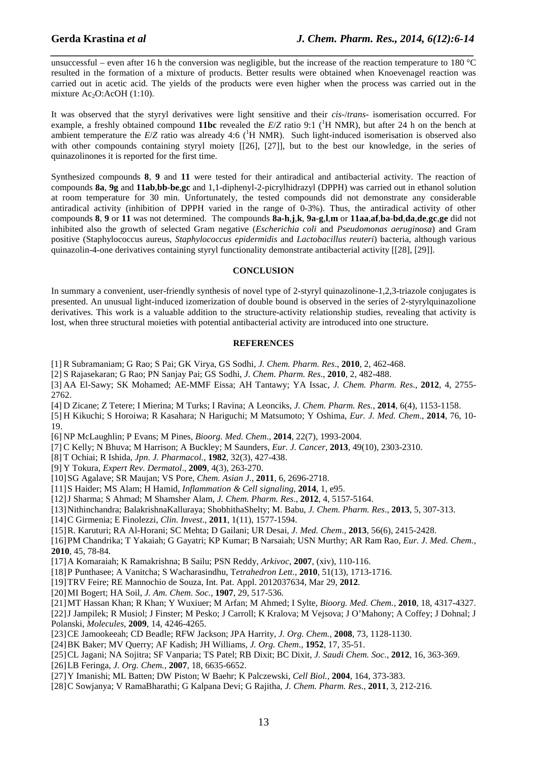unsuccessful – even after 16 h the conversion was negligible, but the increase of the reaction temperature to 180 °C resulted in the formation of a mixture of products. Better results were obtained when Knoevenagel reaction was carried out in acetic acid. The yields of the products were even higher when the process was carried out in the mixture  $Ac_2O$ : AcOH (1:10).

*\_\_\_\_\_\_\_\_\_\_\_\_\_\_\_\_\_\_\_\_\_\_\_\_\_\_\_\_\_\_\_\_\_\_\_\_\_\_\_\_\_\_\_\_\_\_\_\_\_\_\_\_\_\_\_\_\_\_\_\_\_\_\_\_\_\_\_\_\_\_\_\_\_\_\_\_\_\_*

It was observed that the styryl derivatives were light sensitive and their *cis*-/*trans*- isomerisation occurred. For example, a freshly obtained compound **11bc** revealed the  $E/Z$  ratio 9:1 ( $\rm{H}$  NMR), but after 24 h on the bench at ambient temperature the  $E/Z$  ratio was already 4:6 ( ${}^{1}H$  NMR). Such light-induced isomerisation is observed also with other compounds containing styryl moiety [[26], [27]], but to the best our knowledge, in the series of quinazolinones it is reported for the first time.

Synthesized compounds **8**, **9** and **11** were tested for their antiradical and antibacterial activity. The reaction of compounds **8a**, **9g** and **11ab**,**bb**-**be**,**gc** and 1,1-diphenyl-2-picrylhidrazyl (DPPH) was carried out in ethanol solution at room temperature for 30 min. Unfortunately, the tested compounds did not demonstrate any considerable antiradical activity (inhibition of DPPH varied in the range of 0-3%). Thus, the antiradical activity of other compounds 8, 9 or 11 was not determined. The compounds 8a-h,j,k, 9a-g,l,m or 11aa,af,ba-bd,da,de,gc,ge did not inhibited also the growth of selected Gram negative (*Escherichia coli* and *Pseudomonas aeruginosa*) and Gram positive (Staphylococcus aureus, *Staphylococcus epidermidis* and *Lactobacillus reuteri*) bacteria, although various quinazolin-4-one derivatives containing styryl functionality demonstrate antibacterial activity [[28], [29]].

#### **CONCLUSION**

In summary a convenient, user-friendly synthesis of novel type of 2-styryl quinazolinone-1,2,3-triazole conjugates is presented. An unusual light-induced izomerization of double bound is observed in the series of 2-styrylquinazolione derivatives. This work is a valuable addition to the structure-activity relationship studies, revealing that activity is lost, when three structural moieties with potential antibacterial activity are introduced into one structure.

#### **REFERENCES**

[1] R Subramaniam; G Rao; S Pai; GK Virya, GS Sodhi, *J. Chem. Pharm. Res*., **2010**, 2, 462-468.

[2] S Rajasekaran; G Rao; PN Sanjay Pai; GS Sodhi, *J. Chem. Pharm. Res*., **2010**, 2, 482-488.

[3] AA El-Sawy; SK Mohamed; AE-MMF Eissa; AH Tantawy; YA Issac, *J. Chem. Pharm. Res*., **2012**, 4, 2755- 2762.

[4] D Zicane; Z Tetere; I Mierina; M Turks; I Ravina; A Leonciks, *J. Chem. Pharm. Res.*, **2014**, 6(4), 1153-1158.

[5] H Kikuchi; S Horoiwa; R Kasahara; N Hariguchi; M Matsumoto; Y Oshima, *Eur. J. Med. Chem*., **2014**, 76, 10- 19.

[6] NP McLaughlin; P Evans; M Pines, *Bioorg. Med. Chem*., **2014**, 22(7), 1993-2004.

[7] C Kelly; N Bhuva; M Harrison; A Buckley; M Saunders, *Eur. J. Cancer,* **2013**, 49(10), 2303-2310.

[8] T Ochiai; R Ishida, *Jpn. J. Pharmacol.*, **1982**, 32(3), 427-438.

[9] Y Tokura, *Expert Rev. Dermatol*., **2009**, 4(3), 263-270.

[10]SG Agalave; SR Maujan; VS Pore, *Chem. Asian J*., **2011**, 6, 2696-2718.

[11]S Haider; MS Alam; H Hamid, *Inflammation & Cell signaling*, **2014**, 1, e95.

[12]J Sharma; S Ahmad; M Shamsher Alam, *J. Chem. Pharm. Res*., **2012**, 4, 5157-5164.

[13]Nithinchandra; BalakrishnaKalluraya; ShobhithaShelty; M. Babu, *J. Chem. Pharm. Res*., **2013**, 5, 307-313.

[14]C Girmenia; E Finolezzi, *Clin. Invest*., **2011**, 1(11), 1577-1594.

[15]R. Karuturi; RA Al-Horani; SC Mehta; D Gailani; UR Desai, *J. Med. Chem*., **2013**, 56(6), 2415-2428.

[16]PM Chandrika; T Yakaiah; G Gayatri; KP Kumar; B Narsaiah; USN Murthy; AR Ram Rao, *Eur. J. Med. Chem.*, **2010**, 45, 78-84.

[17]A Komaraiah; K Ramakrishna; B Sailu; PSN Reddy, *Arkivoc*, **2007**, (xiv), 110-116.

[18]P Punthasee; A Vanitcha; S Wacharasindhu, T*etrahedron Lett.*, **2010**, 51(13), 1713-1716.

[19]TRV Feire; RE Mannochio de Souza, Int. Pat. Appl. 2012037634, Mar 29, **2012**.

- [20]MI Bogert; HA Soil, *J. Am. Chem. Soc.*, **1907**, 29, 517-536.
- [21]MT Hassan Khan; R Khan; Y Wuxiuer; M Arfan; M Ahmed; I Sylte, *Bioorg. Med. Chem.*, **2010**, 18, 4317-4327.

[22]J Jampilek; R Musiol; J Finster; M Pesko; J Carroll; K Kralova; M Vejsova; J O'Mahony; A Coffey; J Dohnal; J Polanski, *Molecules*, **2009**, 14, 4246-4265.

[23]CE Jamookeeah; CD Beadle; RFW Jackson; JPA Harrity, *J. Org. Chem.*, **2008**, 73, 1128-1130.

[24]BK Baker; MV Querry; AF Kadish; JH Williams, *J. Org. Chem*., **1952**, 17, 35-51.

[25]CL Jagani; NA Sojitra; SF Vanparia; TS Patel; RB Dixit; BC Dixit, *J. Saudi Chem. Soc.*, **2012**, 16, 363-369.

[26]LB Feringa, *J. Org. Chem.*, **2007**, 18, 6635-6652.

[27]Y Imanishi; ML Batten; DW Piston; W Baehr; K Palczewski, *Cell Biol.*, **2004**, 164, 373-383.

[28]C Sowjanya; V RamaBharathi; G Kalpana Devi; G Rajitha, *J. Chem. Pharm. Res*., **2011**, 3, 212-216.